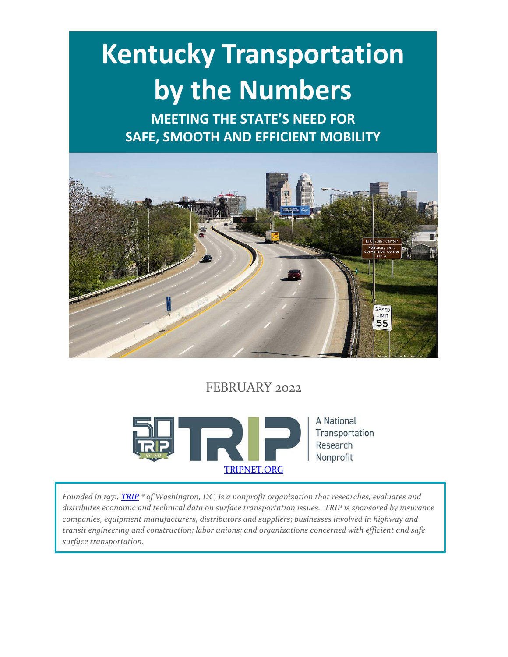# **Kentucky Transportation by the Numbers**

**MEETING THE STATE'S NEED FOR SAFE, SMOOTH AND EFFICIENT MOBILITY**



# FEBRUARY 2022



*Founded in 1971, [TRIP](http://www.tripnet.org/) ® of Washington, DC, is a nonprofit organization that researches, evaluates and distributes economic and technical data on surface transportation issues. TRIP is sponsored by insurance companies, equipment manufacturers, distributors and suppliers; businesses involved in highway and transit engineering and construction; labor unions; and organizations concerned with efficient and safe surface transportation.*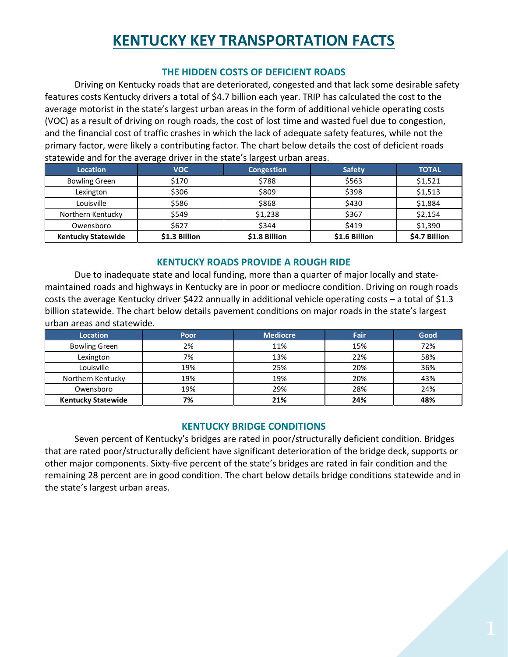# **KENTUCKY KEY TRANSPORTATION FACTS**

#### **THE HIDDEN COSTS OF DEFICIENT ROADS**

Driving on Kentucky roads that are deteriorated, congested and that lack some desirable safety features costs Kentucky drivers a total of \$4.7 billion each year. TRIP has calculated the cost to the average motorist in the state's largest urban areas in the form of additional vehicle operating costs (VOC) as a result of driving on rough roads, the cost of lost time and wasted fuel due to congestion, and the financial cost of traffic crashes in which the lack of adequate safety features, while not the primary factor, were likely a contributing factor. The chart below details the cost of deficient roads statewide and for the average driver in the state's largest urban areas.

| Location                  | <b>VOC</b>    | Congestion    | <b>Safety</b> | <b>TOTAL</b>  |
|---------------------------|---------------|---------------|---------------|---------------|
| <b>Bowling Green</b>      | \$170         | \$788         | \$563         | \$1,521       |
| Lexington                 | \$306         | \$809         | \$398         | \$1,513       |
| Louisville                | \$586         | \$868         | \$430         | \$1,884       |
| Northern Kentucky         | \$549         | \$1,238       | \$367         | \$2,154       |
| Owensboro                 | \$627         | \$344         | \$419         | \$1,390       |
| <b>Kentucky Statewide</b> | \$1.3 Billion | \$1.8 Billion | \$1.6 Billion | \$4.7 Billion |

#### **KENTUCKY ROADS PROVIDE A ROUGH RIDE**

Due to inadequate state and local funding, more than a quarter of major locally and statemaintained roads and highways in Kentucky are in poor or mediocre condition. Driving on rough roads costs the average Kentucky driver \$422 annually in additional vehicle operating costs – a total of \$1.3 billion statewide. The chart below details pavement conditions on major roads in the state's largest urban areas and statewide.

| <b>Location</b>           | Poor | <b>Mediocre</b> | Fair | Good |
|---------------------------|------|-----------------|------|------|
| <b>Bowling Green</b>      | 2%   | 11%             | 15%  | 72%  |
| Lexington                 | 7%   | 13%             | 22%  | 58%  |
| Louisville                | 19%  | 25%             | 20%  | 36%  |
| Northern Kentucky         | 19%  | 19%             | 20%  | 43%  |
| Owensboro                 | 19%  | 29%             | 28%  | 24%  |
| <b>Kentucky Statewide</b> | 7%   | 21%             | 24%  | 48%  |

#### **KENTUCKY BRIDGE CONDITIONS**

Seven percent of Kentucky's bridges are rated in poor/structurally deficient condition. Bridges that are rated poor/structurally deficient have significant deterioration of the bridge deck, supports or other major components. Sixty-five percent of the state's bridges are rated in fair condition and the remaining 28 percent are in good condition. The chart below details bridge conditions statewide and in the state's largest urban areas.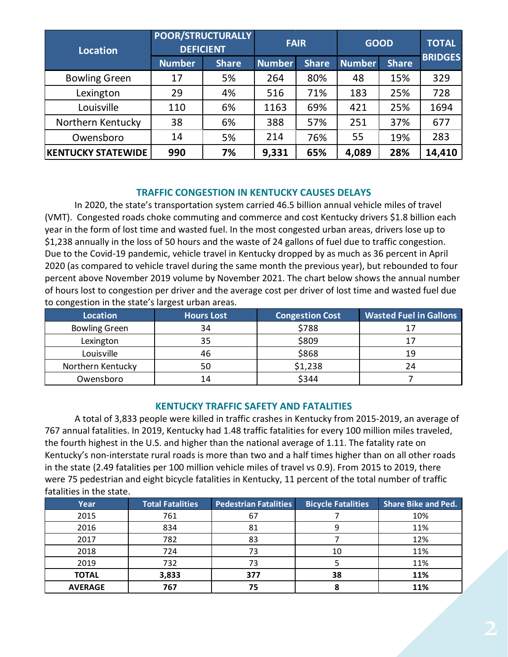| <b>Location</b>           |               | <b>POOR/STRUCTURALLY</b><br><b>DEFICIENT</b> | <b>FAIR</b>   |              | <b>GOOD</b>   |              | <b>TOTAL</b>   |
|---------------------------|---------------|----------------------------------------------|---------------|--------------|---------------|--------------|----------------|
|                           | <b>Number</b> | <b>Share</b>                                 | <b>Number</b> | <b>Share</b> | <b>Number</b> | <b>Share</b> | <b>BRIDGES</b> |
| <b>Bowling Green</b>      | 17            | 5%                                           | 264           | 80%          | 48            | 15%          | 329            |
| Lexington                 | 29            | 4%                                           | 516           | 71%          | 183           | 25%          | 728            |
| Louisville                | 110           | 6%                                           | 1163          | 69%          | 421           | 25%          | 1694           |
| Northern Kentucky         | 38            | 6%                                           | 388           | 57%          | 251           | 37%          | 677            |
| Owensboro                 | 14            | 5%                                           | 214           | 76%          | 55            | 19%          | 283            |
| <b>KENTUCKY STATEWIDE</b> | 990           | 7%                                           | 9,331         | 65%          | 4,089         | 28%          | 14,410         |

#### **TRAFFIC CONGESTION IN KENTUCKY CAUSES DELAYS**

In 2020, the state's transportation system carried 46.5 billion annual vehicle miles of travel (VMT). Congested roads choke commuting and commerce and cost Kentucky drivers \$1.8 billion each year in the form of lost time and wasted fuel. In the most congested urban areas, drivers lose up to \$1,238 annually in the loss of 50 hours and the waste of 24 gallons of fuel due to traffic congestion. Due to the Covid-19 pandemic, vehicle travel in Kentucky dropped by as much as 36 percent in April 2020 (as compared to vehicle travel during the same month the previous year), but rebounded to four percent above November 2019 volume by November 2021. The chart below shows the annual number of hours lost to congestion per driver and the average cost per driver of lost time and wasted fuel due to congestion in the state's largest urban areas.

| Location             | <b>Hours Lost</b> | <b>Congestion Cost</b> | <b>Wasted Fuel in Gallons</b> |
|----------------------|-------------------|------------------------|-------------------------------|
| <b>Bowling Green</b> | 34                | \$788                  |                               |
| Lexington            | 35                | \$809                  |                               |
| Louisville           | 46                | \$868                  | 19                            |
| Northern Kentucky    | 50                | \$1,238                | 24                            |
| Owensboro            | 14                | \$344                  |                               |

#### **KENTUCKY TRAFFIC SAFETY AND FATALITIES**

A total of 3,833 people were killed in traffic crashes in Kentucky from 2015-2019, an average of 767 annual fatalities. In 2019, Kentucky had 1.48 traffic fatalities for every 100 million miles traveled, the fourth highest in the U.S. and higher than the national average of 1.11. The fatality rate on Kentucky's non-interstate rural roads is more than two and a half times higher than on all other roads in the state (2.49 fatalities per 100 million vehicle miles of travel vs 0.9). From 2015 to 2019, there were 75 pedestrian and eight bicycle fatalities in Kentucky, 11 percent of the total number of traffic fatalities in the state.

| Year           | <b>Total Fatalities</b> | <b>Pedestrian Fatalities</b> | <b>Bicycle Fatalities</b> | <b>Share Bike and Ped.</b> |
|----------------|-------------------------|------------------------------|---------------------------|----------------------------|
| 2015           | 761                     | 67                           |                           | 10%                        |
| 2016           | 834                     | 81                           |                           | 11%                        |
| 2017           | 782                     | 83                           |                           | 12%                        |
| 2018           | 724                     | 73                           | 10                        | 11%                        |
| 2019           | 732                     | 73                           |                           | 11%                        |
| <b>TOTAL</b>   | 3,833                   | 377                          | 38                        | 11%                        |
| <b>AVERAGE</b> | 767                     | 75                           |                           | 11%                        |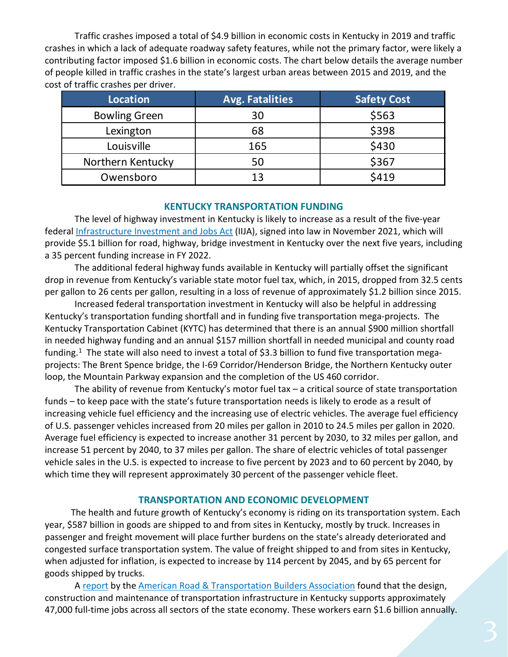Traffic crashes imposed a total of \$4.9 billion in economic costs in Kentucky in 2019 and traffic crashes in which a lack of adequate roadway safety features, while not the primary factor, were likely a contributing factor imposed \$1.6 billion in economic costs. The chart below details the average number of people killed in traffic crashes in the state's largest urban areas between 2015 and 2019, and the cost of traffic crashes per driver.

| Location             | <b>Avg. Fatalities</b> | <b>Safety Cost</b> |
|----------------------|------------------------|--------------------|
| <b>Bowling Green</b> | 30                     | \$563              |
| Lexington            | 68                     | \$398              |
| Louisville           | 165                    | \$430              |
| Northern Kentucky    | 50                     | \$367              |
| Owensboro            | 13                     | \$419              |

#### **KENTUCKY TRANSPORTATION FUNDING**

The level of highway investment in Kentucky is likely to increase as a result of the five-year federal [Infrastructure Investment and Jobs Act](https://www.congress.gov/bill/117th-congress/house-bill/3684/text) (IIJA), signed into law in November 2021, which will provide \$5.1 billion for road, highway, bridge investment in Kentucky over the next five years, including a 35 percent funding increase in FY 2022.

The additional federal highway funds available in Kentucky will partially offset the significant drop in revenue from Kentucky's variable state motor fuel tax, which, in 2015, dropped from 32.5 cents per gallon to 26 cents per gallon, resulting in a loss of revenue of approximately \$1.2 billion since 2015.

Increased federal transportation investment in Kentucky will also be helpful in addressing Kentucky's transportation funding shortfall and in funding five transportation mega-projects. The Kentucky Transportation Cabinet (KYTC) has determined that there is an annual \$900 million shortfall in needed highway funding and an annual \$157 million shortfall in needed municipal and county road funding.<sup>1</sup> The state will also need to invest a total of \$3.3 billion to fund five transportation megaprojects: The Brent Spence bridge, the I-69 Corridor/Henderson Bridge, the Northern Kentucky outer loop, the Mountain Parkway expansion and the completion of the US 460 corridor.

The ability of revenue from Kentucky's motor fuel tax – a critical source of state transportation funds – to keep pace with the state's future transportation needs is likely to erode as a result of increasing vehicle fuel efficiency and the increasing use of electric vehicles. The average fuel efficiency of U.S. passenger vehicles increased from 20 miles per gallon in 2010 to 24.5 miles per gallon in 2020. Average fuel efficiency is expected to increase another 31 percent by 2030, to 32 miles per gallon, and increase 51 percent by 2040, to 37 miles per gallon. The share of electric vehicles of total passenger vehicle sales in the U.S. is expected to increase to five percent by 2023 and to 60 percent by 2040, by which time they will represent approximately 30 percent of the passenger vehicle fleet.

#### **TRANSPORTATION AND ECONOMIC DEVELOPMENT**

The health and future growth of Kentucky's economy is riding on its transportation system. Each year, \$587 billion in goods are shipped to and from sites in Kentucky, mostly by truck. Increases in passenger and freight movement will place further burdens on the state's already deteriorated and congested surface transportation system. The value of freight shipped to and from sites in Kentucky, when adjusted for inflation, is expected to increase by 114 percent by 2045, and by 65 percent for goods shipped by trucks.

A [report](https://www.transportationcreatesjobs.org/pdf/Economic_Profile.pdf) by the [American Road & Transportation Builders Association](https://www.artba.org/) found that the design, construction and maintenance of transportation infrastructure in Kentucky supports approximately 47,000 full-time jobs across all sectors of the state economy. These workers earn \$1.6 billion annually.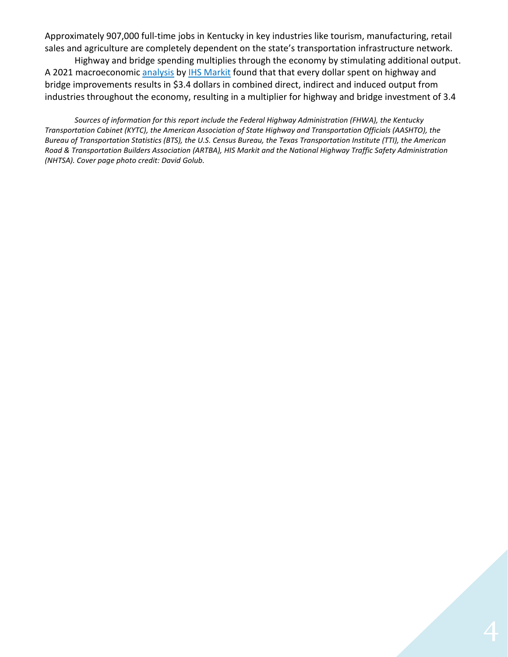Approximately 907,000 full-time jobs in Kentucky in key industries like tourism, manufacturing, retail sales and agriculture are completely dependent on the state's transportation infrastructure network.

Highway and bridge spending multiplies through the economy by stimulating additional output. A 2021 macroeconomic [analysis](https://www.artba.org/wp-content/uploads/federal-investment/iija/ARTBA_EIA_IIJA_Report_Sept2021.pdf) by [IHS Markit](https://ihsmarkit.com/index.html) found that that every dollar spent on highway and bridge improvements results in \$3.4 dollars in combined direct, indirect and induced output from industries throughout the economy, resulting in a multiplier for highway and bridge investment of 3.4

*Sources of information for this report include the Federal Highway Administration (FHWA), the Kentucky Transportation Cabinet (KYTC), the American Association of State Highway and Transportation Officials (AASHTO), the Bureau of Transportation Statistics (BTS), the U.S. Census Bureau, the Texas Transportation Institute (TTI), the American Road & Transportation Builders Association (ARTBA), HIS Markit and the National Highway Traffic Safety Administration (NHTSA). Cover page photo credit: David Golub.*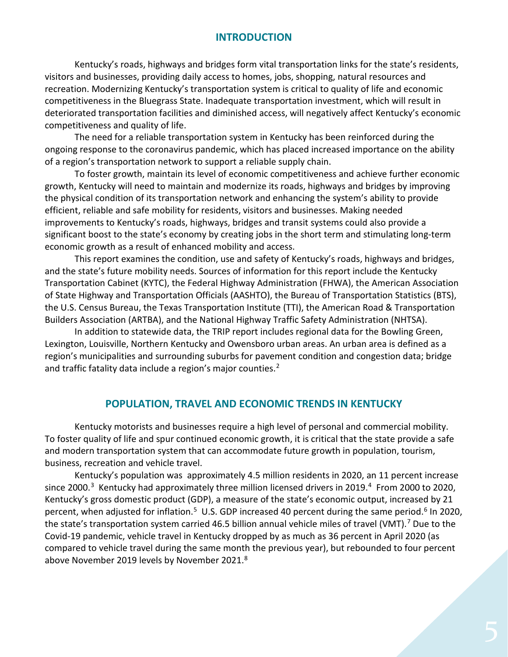### **INTRODUCTION**

Kentucky's roads, highways and bridges form vital transportation links for the state's residents, visitors and businesses, providing daily access to homes, jobs, shopping, natural resources and recreation. Modernizing Kentucky's transportation system is critical to quality of life and economic competitiveness in the Bluegrass State. Inadequate transportation investment, which will result in deteriorated transportation facilities and diminished access, will negatively affect Kentucky's economic competitiveness and quality of life.

The need for a reliable transportation system in Kentucky has been reinforced during the ongoing response to the coronavirus pandemic, which has placed increased importance on the ability of a region's transportation network to support a reliable supply chain.

To foster growth, maintain its level of economic competitiveness and achieve further economic growth, Kentucky will need to maintain and modernize its roads, highways and bridges by improving the physical condition of its transportation network and enhancing the system's ability to provide efficient, reliable and safe mobility for residents, visitors and businesses. Making needed improvements to Kentucky's roads, highways, bridges and transit systems could also provide a significant boost to the state's economy by creating jobs in the short term and stimulating long-term economic growth as a result of enhanced mobility and access.

This report examines the condition, use and safety of Kentucky's roads, highways and bridges, and the state's future mobility needs. Sources of information for this report include the Kentucky Transportation Cabinet (KYTC), the Federal Highway Administration (FHWA), the American Association of State Highway and Transportation Officials (AASHTO), the Bureau of Transportation Statistics (BTS), the U.S. Census Bureau, the Texas Transportation Institute (TTI), the American Road & Transportation Builders Association (ARTBA), and the National Highway Traffic Safety Administration (NHTSA).

In addition to statewide data, the TRIP report includes regional data for the Bowling Green, Lexington, Louisville, Northern Kentucky and Owensboro urban areas. An urban area is defined as a region's municipalities and surrounding suburbs for pavement condition and congestion data; bridge and traffic fatality data include a region's major counties.<sup>[2](#page-15-1)</sup>

#### **POPULATION, TRAVEL AND ECONOMIC TRENDS IN KENTUCKY**

Kentucky motorists and businesses require a high level of personal and commercial mobility. To foster quality of life and spur continued economic growth, it is critical that the state provide a safe and modern transportation system that can accommodate future growth in population, tourism, business, recreation and vehicle travel.

Kentucky's population was approximately 4.5 million residents in 2020, an 11 percent increase since 2000.<sup>3</sup> Kentucky had approximately three million licensed drivers in 2019.<sup>[4](#page-15-3)</sup> From 2000 to 2020, Kentucky's gross domestic product (GDP), a measure of the state's economic output, increased by 21 percent, when adjusted for inflation.<sup>5</sup> U.S. GDP increased 40 percent during the same period.<sup>[6](#page-15-5)</sup> In 2020, the state's transportation system carried 46.5 billion annual vehicle miles of travel (VMT).<sup>[7](#page-15-6)</sup> Due to the Covid-19 pandemic, vehicle travel in Kentucky dropped by as much as 36 percent in April 2020 (as compared to vehicle travel during the same month the previous year), but rebounded to four percent above November 2019 levels by November 2021.<sup>[8](#page-15-7)</sup>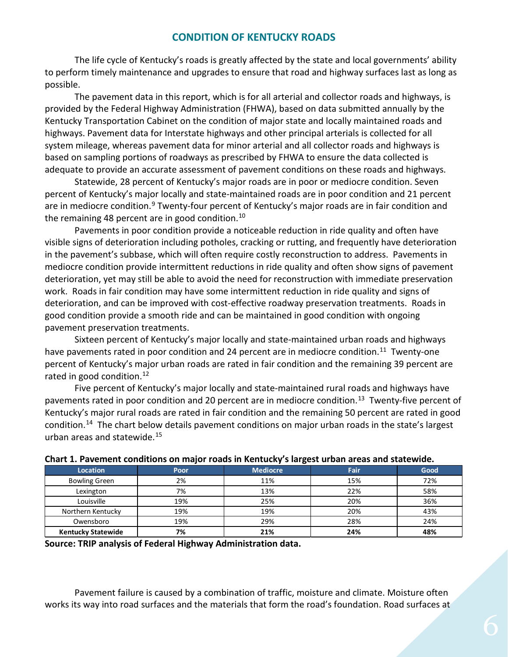# **CONDITION OF KENTUCKY ROADS**

The life cycle of Kentucky's roads is greatly affected by the state and local governments' ability to perform timely maintenance and upgrades to ensure that road and highway surfaces last as long as possible.

The pavement data in this report, which is for all arterial and collector roads and highways, is provided by the Federal Highway Administration (FHWA), based on data submitted annually by the Kentucky Transportation Cabinet on the condition of major state and locally maintained roads and highways. Pavement data for Interstate highways and other principal arterials is collected for all system mileage, whereas pavement data for minor arterial and all collector roads and highways is based on sampling portions of roadways as prescribed by FHWA to ensure the data collected is adequate to provide an accurate assessment of pavement conditions on these roads and highways.

Statewide, 28 percent of Kentucky's major roads are in poor or mediocre condition. Seven percent of Kentucky's major locally and state-maintained roads are in poor condition and 21 percent are in mediocre condition.<sup>[9](#page-15-8)</sup> Twenty-four percent of Kentucky's major roads are in fair condition and the remaining 48 percent are in good condition.<sup>[10](#page-15-9)</sup>

Pavements in poor condition provide a noticeable reduction in ride quality and often have visible signs of deterioration including potholes, cracking or rutting, and frequently have deterioration in the pavement's subbase, which will often require costly reconstruction to address. Pavements in mediocre condition provide intermittent reductions in ride quality and often show signs of pavement deterioration, yet may still be able to avoid the need for reconstruction with immediate preservation work. Roads in fair condition may have some intermittent reduction in ride quality and signs of deterioration, and can be improved with cost-effective roadway preservation treatments. Roads in good condition provide a smooth ride and can be maintained in good condition with ongoing pavement preservation treatments.

Sixteen percent of Kentucky's major locally and state-maintained urban roads and highways have pavements rated in poor condition and 24 percent are in mediocre condition.<sup>11</sup> Twenty-one percent of Kentucky's major urban roads are rated in fair condition and the remaining 39 percent are rated in good condition.<sup>12</sup>

Five percent of Kentucky's major locally and state-maintained rural roads and highways have pavements rated in poor condition and 20 percent are in mediocre condition.<sup>13</sup> Twenty-five percent of Kentucky's major rural roads are rated in fair condition and the remaining 50 percent are rated in good condition.[14](#page-15-13) The chart below details pavement conditions on major urban roads in the state's largest urban areas and statewide. [15](#page-15-14)

| <u>and the community and community and community and community and community and community and community and community of the community of the community of the community of the community of the community of the community of </u> |      |                 |      |      |  |
|--------------------------------------------------------------------------------------------------------------------------------------------------------------------------------------------------------------------------------------|------|-----------------|------|------|--|
| <b>Location</b>                                                                                                                                                                                                                      | Poor | <b>Mediocre</b> | Fair | Good |  |
| <b>Bowling Green</b>                                                                                                                                                                                                                 | 2%   | 11%             | 15%  | 72%  |  |
| Lexington                                                                                                                                                                                                                            | 7%   | 13%             | 22%  | 58%  |  |
| Louisville                                                                                                                                                                                                                           | 19%  | 25%             | 20%  | 36%  |  |
| Northern Kentucky                                                                                                                                                                                                                    | 19%  | 19%             | 20%  | 43%  |  |
| Owensboro                                                                                                                                                                                                                            | 19%  | 29%             | 28%  | 24%  |  |
| <b>Kentucky Statewide</b>                                                                                                                                                                                                            | 7%   | 21%             | 24%  | 48%  |  |

#### **Chart 1. Pavement conditions on major roads in Kentucky's largest urban areas and statewide.**

**Source: TRIP analysis of Federal Highway Administration data.** 

Pavement failure is caused by a combination of traffic, moisture and climate. Moisture often works its way into road surfaces and the materials that form the road's foundation. Road surfaces at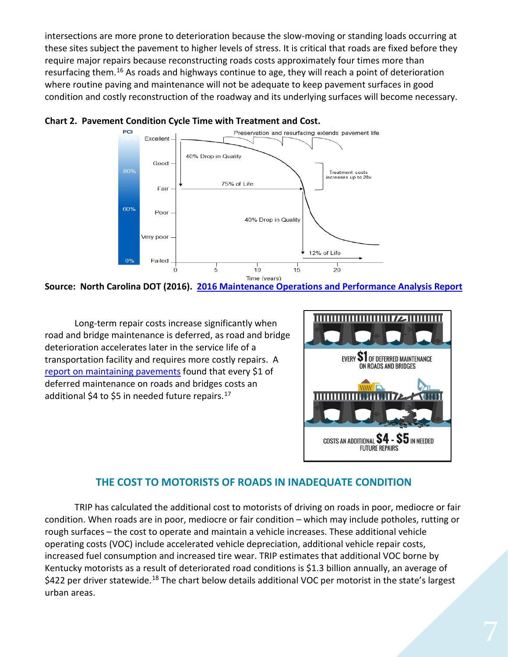intersections are more prone to deterioration because the slow-moving or standing loads occurring at these sites subject the pavement to higher levels of stress. It is critical that roads are fixed before they require major repairs because reconstructing roads costs approximately four times more than resurfacing them.<sup>[16](#page-15-15)</sup> As roads and highways continue to age, they will reach a point of deterioration where routine paving and maintenance will not be adequate to keep pavement surfaces in good condition and costly reconstruction of the roadway and its underlying surfaces will become necessary.





**Source: North Carolina DOT (2016). [2016 Maintenance Operations and Performance Analysis Report](https://connect.ncdot.gov/resources/Asset-Management/MSADocuments/2016%20Maintenance%20Operations%20and%20Performance%20Analysis%20Report%20(MOPAR).pdf)**

Long-term repair costs increase significantly when road and bridge maintenance is deferred, as road and bridge deterioration accelerates later in the service life of a transportation facility and requires more costly repairs. A [report on maintaining pavements](https://www.yumpu.com/en/document/view/9021768/pavement-maintenance-cornell-local-roads-program-cornell-/4) found that every \$1 of deferred maintenance on roads and bridges costs an additional \$4 to \$5 in needed future repairs. $^{17}$  $^{17}$  $^{17}$ 



# **THE COST TO MOTORISTS OF ROADS IN INADEQUATE CONDITION**

TRIP has calculated the additional cost to motorists of driving on roads in poor, mediocre or fair condition. When roads are in poor, mediocre or fair condition – which may include potholes, rutting or rough surfaces – the cost to operate and maintain a vehicle increases. These additional vehicle operating costs (VOC) include accelerated vehicle depreciation, additional vehicle repair costs, increased fuel consumption and increased tire wear. TRIP estimates that additional VOC borne by Kentucky motorists as a result of deteriorated road conditions is \$1.3 billion annually, an average of \$422 per driver statewide.<sup>[18](#page-15-17)</sup> The chart below details additional VOC per motorist in the state's largest urban areas.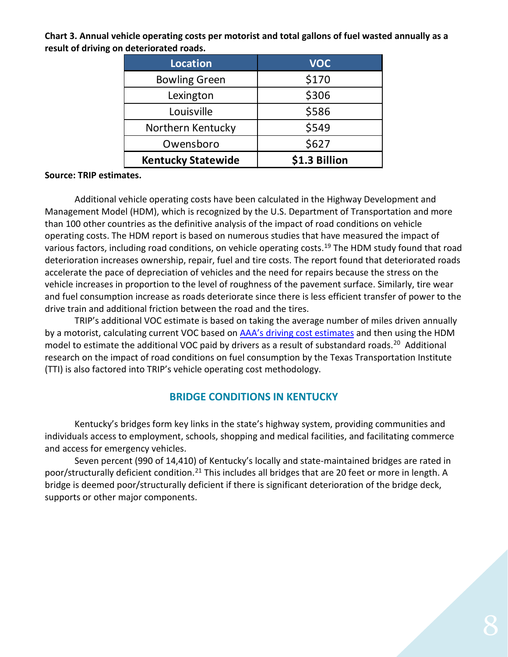**Chart 3. Annual vehicle operating costs per motorist and total gallons of fuel wasted annually as a result of driving on deteriorated roads.**

| Location                  | <b>VOC</b>    |  |
|---------------------------|---------------|--|
| <b>Bowling Green</b>      | \$170         |  |
| Lexington                 | \$306         |  |
| Louisville                | \$586         |  |
| Northern Kentucky         | \$549         |  |
| Owensboro                 | \$627         |  |
| <b>Kentucky Statewide</b> | \$1.3 Billion |  |

#### **Source: TRIP estimates.**

Additional vehicle operating costs have been calculated in the Highway Development and Management Model (HDM), which is recognized by the U.S. Department of Transportation and more than 100 other countries as the definitive analysis of the impact of road conditions on vehicle operating costs. The HDM report is based on numerous studies that have measured the impact of various factors, including road conditions, on vehicle operating costs.<sup>[19](#page-15-18)</sup> The HDM study found that road deterioration increases ownership, repair, fuel and tire costs. The report found that deteriorated roads accelerate the pace of depreciation of vehicles and the need for repairs because the stress on the vehicle increases in proportion to the level of roughness of the pavement surface. Similarly, tire wear and fuel consumption increase as roads deteriorate since there is less efficient transfer of power to the drive train and additional friction between the road and the tires.

TRIP's additional VOC estimate is based on taking the average number of miles driven annually by a motorist, calculating current VOC based on [AAA's driving cost estimates](https://newsroom.aaa.com/wp-content/uploads/2021/08/2021-YDC-Brochure-Live.pdf) and then using the HDM model to estimate the additional VOC paid by drivers as a result of substandard roads.<sup>20</sup> Additional research on the impact of road conditions on fuel consumption by the Texas Transportation Institute (TTI) is also factored into TRIP's vehicle operating cost methodology.

# **BRIDGE CONDITIONS IN KENTUCKY**

Kentucky's bridges form key links in the state's highway system, providing communities and individuals access to employment, schools, shopping and medical facilities, and facilitating commerce and access for emergency vehicles.

Seven percent (990 of 14,410) of Kentucky's locally and state-maintained bridges are rated in poor/structurally deficient condition.<sup>[21](#page-15-20)</sup> This includes all bridges that are 20 feet or more in length. A bridge is deemed poor/structurally deficient if there is significant deterioration of the bridge deck, supports or other major components.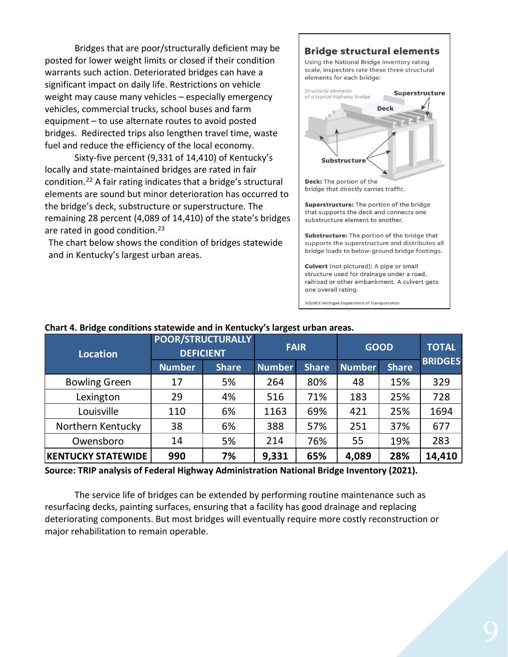Bridges that are poor/structurally deficient may be posted for lower weight limits or closed if their condition warrants such action. Deteriorated bridges can have a significant impact on daily life. Restrictions on vehicle weight may cause many vehicles – especially emergency vehicles, commercial trucks, school buses and farm equipment – to use alternate routes to avoid posted bridges. Redirected trips also lengthen travel time, waste fuel and reduce the efficiency of the local economy.

Sixty-five percent (9,331 of 14,410) of Kentucky's locally and state-maintained bridges are rated in fair condition.[22](#page-15-21) A fair rating indicates that a bridge's structural elements are sound but minor deterioration has occurred to the bridge's deck, substructure or superstructure. The remaining 28 percent (4,089 of 14,410) of the state's bridges are rated in good condition.<sup>[23](#page-15-22)</sup>

The chart below shows the condition of bridges statewide and in Kentucky's largest urban areas.

#### **Bridge structural elements**

Using the National Bridge Inventory rating scale, inspectors rate these three structural elements for each bridge:



Superstructure: The portion of the bridge that supports the deck and connects one substructure element to another.

Substructure: The portion of the bridge that supports the superstructure and distributes all bridge loads to below-ground bridge footings.

Culvert (not pictured): A pipe or small structure used for drainage under a road, railroad or other embankment. A culvert gets one overall rating.

SOURCE Michigan Department of Transportation

| <b>Location</b>           | <b>PUUN/3INULIUNALLI</b><br><b>DEFICIENT</b> |              | <b>FAIR</b>   |              | <b>GOOD</b>   |              | <b>TOTAL</b>   |
|---------------------------|----------------------------------------------|--------------|---------------|--------------|---------------|--------------|----------------|
|                           | <b>Number</b>                                | <b>Share</b> | <b>Number</b> | <b>Share</b> | <b>Number</b> | <b>Share</b> | <b>BRIDGES</b> |
| <b>Bowling Green</b>      | 17                                           | 5%           | 264           | 80%          | 48            | 15%          | 329            |
| Lexington                 | 29                                           | 4%           | 516           | 71%          | 183           | 25%          | 728            |
| Louisville                | 110                                          | 6%           | 1163          | 69%          | 421           | 25%          | 1694           |
| Northern Kentucky         | 38                                           | 6%           | 388           | 57%          | 251           | 37%          | 677            |
| Owensboro                 | 14                                           | 5%           | 214           | 76%          | 55            | 19%          | 283            |
| <b>KENTUCKY STATEWIDE</b> | 990                                          | 7%           | 9,331         | 65%          | 4,089         | 28%          | 14,410         |

#### **Chart 4. Bridge conditions statewide and in Kentucky's largest urban areas. POOR/STRUCTURALLY**

**Source: TRIP analysis of Federal Highway Administration National Bridge Inventory (2021).**

The service life of bridges can be extended by performing routine maintenance such as resurfacing decks, painting surfaces, ensuring that a facility has good drainage and replacing deteriorating components. But most bridges will eventually require more costly reconstruction or major rehabilitation to remain operable.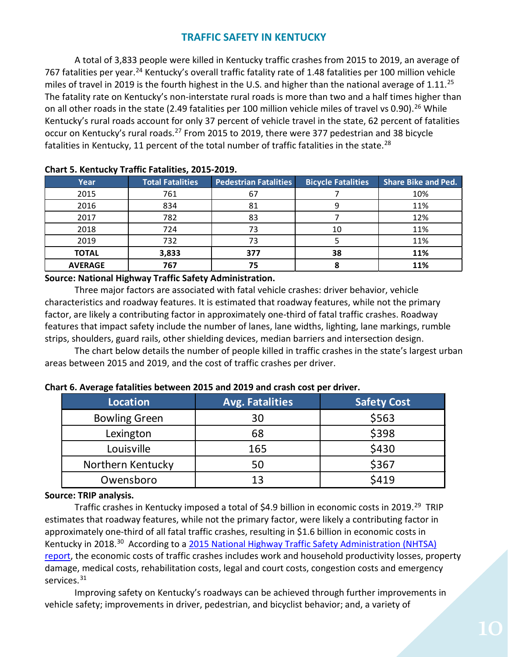# **TRAFFIC SAFETY IN KENTUCKY**

A total of 3,833 people were killed in Kentucky traffic crashes from 2015 to 2019, an average of 767 fatalities per year.<sup>[24](#page-15-23)</sup> Kentucky's overall traffic fatality rate of 1.48 fatalities per 100 million vehicle miles of travel in 2019 is the fourth highest in the U.S. and higher than the national average of  $1.11^{25}$  $1.11^{25}$  $1.11^{25}$ The fatality rate on Kentucky's non-interstate rural roads is more than two and a half times higher than on all other roads in the state (2.49 fatalities per 100 million vehicle miles of travel vs 0.90).<sup>[26](#page-15-25)</sup> While Kentucky's rural roads account for only 37 percent of vehicle travel in the state, 62 percent of fatalities occur on Kentucky's rural roads.[27](#page-15-26) From 2015 to 2019, there were 377 pedestrian and 38 bicycle fatalities in Kentucky, 11 percent of the total number of traffic fatalities in the state.<sup>[28](#page-15-27)</sup>

| Chart Strentacky Tranic Faturities, 2013 2013. |                         |                              |                           |                            |  |
|------------------------------------------------|-------------------------|------------------------------|---------------------------|----------------------------|--|
| Year                                           | <b>Total Fatalities</b> | <b>Pedestrian Fatalities</b> | <b>Bicycle Fatalities</b> | <b>Share Bike and Ped.</b> |  |
| 2015                                           | 761                     | 67                           |                           | 10%                        |  |
| 2016                                           | 834                     | 81                           |                           | 11%                        |  |
| 2017                                           | 782                     | 83                           |                           | 12%                        |  |
| 2018                                           | 724                     | 73                           | 10                        | 11%                        |  |
| 2019                                           | 732                     | 73                           |                           | 11%                        |  |
| <b>TOTAL</b>                                   | 3,833                   | 377                          | 38                        | 11%                        |  |
| <b>AVERAGE</b>                                 | 767                     | 75                           |                           | 11%                        |  |

# **Chart 5. Kentucky Traffic Fatalities, 2015-2019.**

**Source: National Highway Traffic Safety Administration.**

Three major factors are associated with fatal vehicle crashes: driver behavior, vehicle characteristics and roadway features. It is estimated that roadway features, while not the primary factor, are likely a contributing factor in approximately one-third of fatal traffic crashes. Roadway features that impact safety include the number of lanes, lane widths, lighting, lane markings, rumble strips, shoulders, guard rails, other shielding devices, median barriers and intersection design.

The chart below details the number of people killed in traffic crashes in the state's largest urban areas between 2015 and 2019, and the cost of traffic crashes per driver.

| Location             | <b>Avg. Fatalities</b> | <b>Safety Cost</b> |
|----------------------|------------------------|--------------------|
| <b>Bowling Green</b> | 30                     | \$563              |
| Lexington            | 68                     | \$398              |
| Louisville           | 165                    | \$430              |
| Northern Kentucky    | 50                     | \$367              |
| Owensboro            | 13                     | \$419              |

#### **Chart 6. Average fatalities between 2015 and 2019 and crash cost per driver.**

#### **Source: TRIP analysis.**

Traffic crashes in Kentucky imposed a total of \$4.9 billion in economic costs in 2019.<sup>29</sup> TRIP estimates that roadway features, while not the primary factor, were likely a contributing factor in approximately one-third of all fatal traffic crashes, resulting in \$1.6 billion in economic costs in Kentucky in 2018.<sup>[30](#page-15-29)</sup> According to a [2015 National Highway Traffic](file://EgnyteDrive/tripcloud/Shared/TRIP%20Staff%20Folders/Active%20State%20Reports%202019/Alabama/According%20to%20a%202015%20National%20Highway%20Traffic%20Safety%20Administration%20(NHTSA)%20report,) Safety Administration (NHTSA) [report,](file://EgnyteDrive/tripcloud/Shared/TRIP%20Staff%20Folders/Active%20State%20Reports%202019/Alabama/According%20to%20a%202015%20National%20Highway%20Traffic%20Safety%20Administration%20(NHTSA)%20report,) the economic costs of traffic crashes includes work and household productivity losses, property damage, medical costs, rehabilitation costs, legal and court costs, congestion costs and emergency services.<sup>[31](#page-16-0)</sup>

Improving safety on Kentucky's roadways can be achieved through further improvements in vehicle safety; improvements in driver, pedestrian, and bicyclist behavior; and, a variety of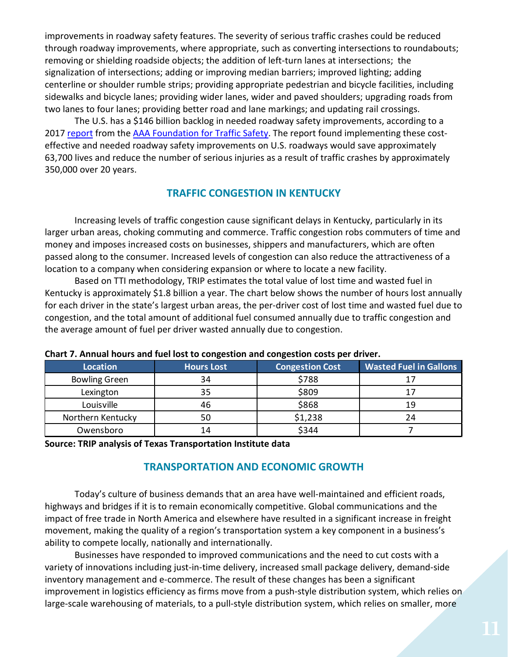improvements in roadway safety features. The severity of serious traffic crashes could be reduced through roadway improvements, where appropriate, such as converting intersections to roundabouts; removing or shielding roadside objects; the addition of left-turn lanes at intersections; the signalization of intersections; adding or improving median barriers; improved lighting; adding centerline or shoulder rumble strips; providing appropriate pedestrian and bicycle facilities, including sidewalks and bicycle lanes; providing wider lanes, wider and paved shoulders; upgrading roads from two lanes to four lanes; providing better road and lane markings; and updating rail crossings.

The U.S. has a \$146 billion backlog in needed roadway safety improvements, according to a 2017 [report](https://aaafoundation.org/wp-content/uploads/2017/05/SafetyBenefitsofHighway.pdf) from the [AAA Foundation for Traffic Safety.](https://aaafoundation.org/) The report found implementing these costeffective and needed roadway safety improvements on U.S. roadways would save approximately 63,700 lives and reduce the number of serious injuries as a result of traffic crashes by approximately 350,000 over 20 years.

# **TRAFFIC CONGESTION IN KENTUCKY**

Increasing levels of traffic congestion cause significant delays in Kentucky, particularly in its larger urban areas, choking commuting and commerce. Traffic congestion robs commuters of time and money and imposes increased costs on businesses, shippers and manufacturers, which are often passed along to the consumer. Increased levels of congestion can also reduce the attractiveness of a location to a company when considering expansion or where to locate a new facility.

Based on TTI methodology, TRIP estimates the total value of lost time and wasted fuel in Kentucky is approximately \$1.8 billion a year. The chart below shows the number of hours lost annually for each driver in the state's largest urban areas, the per-driver cost of lost time and wasted fuel due to congestion, and the total amount of additional fuel consumed annually due to traffic congestion and the average amount of fuel per driver wasted annually due to congestion.

| <b>Location</b>      | <b>Hours Lost</b> | <b>Congestion Cost</b> | <b>Wasted Fuel in Gallons</b> |
|----------------------|-------------------|------------------------|-------------------------------|
| <b>Bowling Green</b> | 34                | \$788                  |                               |
| Lexington            | 35                | \$809                  |                               |
| Louisville           | 46                | \$868                  | 19                            |
| Northern Kentucky    | 50                | \$1,238                | 24                            |
| Owensboro            | 14                | \$344                  |                               |

#### **Chart 7. Annual hours and fuel lost to congestion and congestion costs per driver.**

#### **Source: TRIP analysis of Texas Transportation Institute data**

# **TRANSPORTATION AND ECONOMIC GROWTH**

Today's culture of business demands that an area have well-maintained and efficient roads, highways and bridges if it is to remain economically competitive. Global communications and the impact of free trade in North America and elsewhere have resulted in a significant increase in freight movement, making the quality of a region's transportation system a key component in a business's ability to compete locally, nationally and internationally.

Businesses have responded to improved communications and the need to cut costs with a variety of innovations including just-in-time delivery, increased small package delivery, demand-side inventory management and e-commerce. The result of these changes has been a significant improvement in logistics efficiency as firms move from a push-style distribution system, which relies on large-scale warehousing of materials, to a pull-style distribution system, which relies on smaller, more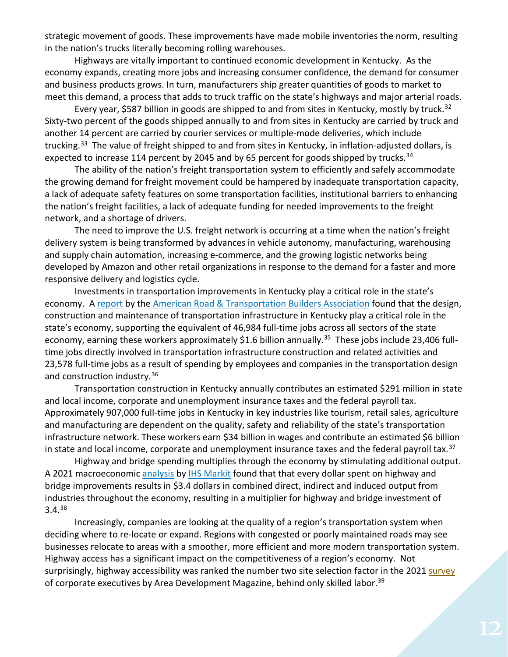strategic movement of goods. These improvements have made mobile inventories the norm, resulting in the nation's trucks literally becoming rolling warehouses.

Highways are vitally important to continued economic development in Kentucky. As the economy expands, creating more jobs and increasing consumer confidence, the demand for consumer and business products grows. In turn, manufacturers ship greater quantities of goods to market to meet this demand, a process that adds to truck traffic on the state's highways and major arterial roads.

Every year, \$587 billion in goods are shipped to and from sites in Kentucky, mostly by truck.<sup>[32](#page-16-1)</sup> Sixty-two percent of the goods shipped annually to and from sites in Kentucky are carried by truck and another 14 percent are carried by courier services or multiple-mode deliveries, which include trucking.<sup>[33](#page-16-2)</sup> The value of freight shipped to and from sites in Kentucky, in inflation-adjusted dollars, is expected to increase 114 percent by 2045 and by 65 percent for goods shipped by trucks.<sup>[34](#page-16-3)</sup>

The ability of the nation's freight transportation system to efficiently and safely accommodate the growing demand for freight movement could be hampered by inadequate transportation capacity, a lack of adequate safety features on some transportation facilities, institutional barriers to enhancing the nation's freight facilities, a lack of adequate funding for needed improvements to the freight network, and a shortage of drivers.

The need to improve the U.S. freight network is occurring at a time when the nation's freight delivery system is being transformed by advances in vehicle autonomy, manufacturing, warehousing and supply chain automation, increasing e-commerce, and the growing logistic networks being developed by Amazon and other retail organizations in response to the demand for a faster and more responsive delivery and logistics cycle.

Investments in transportation improvements in Kentucky play a critical role in the state's economy. A [report](https://www.transportationcreatesjobs.org/pdf/Economic_Profile.pdf) by the [American Road & Transportation Builders Association](https://www.artba.org/) found that the design, construction and maintenance of transportation infrastructure in Kentucky play a critical role in the state's economy, supporting the equivalent of 46,984 full-time jobs across all sectors of the state economy, earning these workers approximately \$1.6 billion annually.<sup>35</sup> These jobs include 23,406 fulltime jobs directly involved in transportation infrastructure construction and related activities and 23,578 full-time jobs as a result of spending by employees and companies in the transportation design and construction industry.[36](#page-16-5)

Transportation construction in Kentucky annually contributes an estimated \$291 million in state and local income, corporate and unemployment insurance taxes and the federal payroll tax. Approximately 907,000 full-time jobs in Kentucky in key industries like tourism, retail sales, agriculture and manufacturing are dependent on the quality, safety and reliability of the state's transportation infrastructure network. These workers earn \$34 billion in wages and contribute an estimated \$6 billion in state and local income, corporate and unemployment insurance taxes and the federal payroll tax.<sup>[37](#page-16-6)</sup>

Highway and bridge spending multiplies through the economy by stimulating additional output. A 2021 macroeconomic [analysis](https://www.artba.org/wp-content/uploads/federal-investment/iija/ARTBA_EIA_IIJA_Report_Sept2021.pdf) by [IHS Markit](https://ihsmarkit.com/index.html) found that that every dollar spent on highway and bridge improvements results in \$3.4 dollars in combined direct, indirect and induced output from industries throughout the economy, resulting in a multiplier for highway and bridge investment of 3.4.[38](#page-16-7)

Increasingly, companies are looking at the quality of a region's transportation system when deciding where to re-locate or expand. Regions with congested or poorly maintained roads may see businesses relocate to areas with a smoother, more efficient and more modern transportation system. Highway access has a significant impact on the competitiveness of a region's economy. Not surprisingly, highway accessibility was ranked the number two site selection factor in the 202[1 survey](https://www.areadevelopment.com/corporate-consultants-survey-results/q1-2021/35th-annual-corporate-survey.shtml) of corporate executives by Area Development Magazine, behind only skilled labor.<sup>[39](#page-16-8)</sup>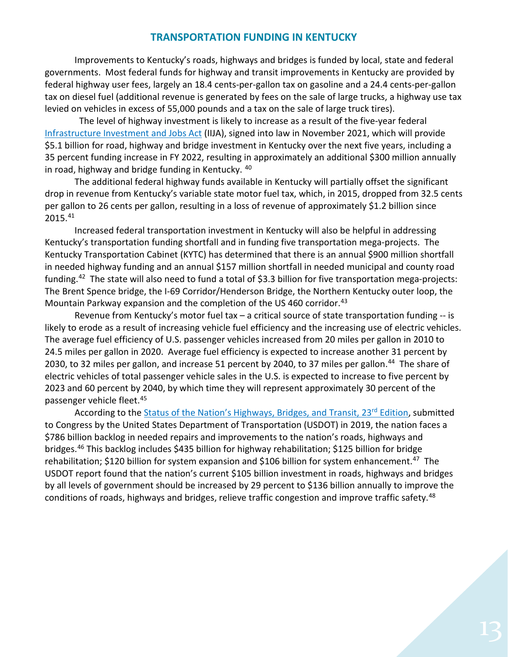# **TRANSPORTATION FUNDING IN KENTUCKY**

Improvements to Kentucky's roads, highways and bridges is funded by local, state and federal governments. Most federal funds for highway and transit improvements in Kentucky are provided by federal highway user fees, largely an 18.4 cents-per-gallon tax on gasoline and a 24.4 cents-per-gallon tax on diesel fuel (additional revenue is generated by fees on the sale of large trucks, a highway use tax levied on vehicles in excess of 55,000 pounds and a tax on the sale of large truck tires).

 The level of highway investment is likely to increase as a result of the five-year federal [Infrastructure Investment and Jobs Act](https://www.congress.gov/bill/117th-congress/house-bill/3684/text) (IIJA), signed into law in November 2021, which will provide \$5.1 billion for road, highway and bridge investment in Kentucky over the next five years, including a 35 percent funding increase in FY 2022, resulting in approximately an additional \$300 million annually in road, highway and bridge funding in Kentucky. [40](#page-16-9)

The additional federal highway funds available in Kentucky will partially offset the significant drop in revenue from Kentucky's variable state motor fuel tax, which, in 2015, dropped from 32.5 cents per gallon to 26 cents per gallon, resulting in a loss of revenue of approximately \$1.2 billion since 2015.[41](#page-16-10)

Increased federal transportation investment in Kentucky will also be helpful in addressing Kentucky's transportation funding shortfall and in funding five transportation mega-projects. The Kentucky Transportation Cabinet (KYTC) has determined that there is an annual \$900 million shortfall in needed highway funding and an annual \$157 million shortfall in needed municipal and county road funding.[42](#page-16-11) The state will also need to fund a total of \$3.3 billion for five transportation mega-projects: The Brent Spence bridge, the I-69 Corridor/Henderson Bridge, the Northern Kentucky outer loop, the Mountain Parkway expansion and the completion of the US 460 corridor.<sup>[43](#page-16-12)</sup>

Revenue from Kentucky's motor fuel tax – a critical source of state transportation funding -- is likely to erode as a result of increasing vehicle fuel efficiency and the increasing use of electric vehicles. The average fuel efficiency of U.S. passenger vehicles increased from 20 miles per gallon in 2010 to 24.5 miles per gallon in 2020. Average fuel efficiency is expected to increase another 31 percent by 2030, to 32 miles per gallon, and increase 51 percent by 2040, to 37 miles per gallon.<sup>[44](#page-16-13)</sup> The share of electric vehicles of total passenger vehicle sales in the U.S. is expected to increase to five percent by 2023 and 60 percent by 2040, by which time they will represent approximately 30 percent of the passenger vehicle fleet.[45](#page-16-14)

According to the Status of the Nation's Highways, Bridges, and Transit, 23<sup>rd</sup> Edition, submitted to Congress by the United States Department of Transportation (USDOT) in 2019, the nation faces a \$786 billion backlog in needed repairs and improvements to the nation's roads, highways and bridges[.46](#page-16-15) This backlog includes \$435 billion for highway rehabilitation; \$125 billion for bridge rehabilitation; \$120 billion for system expansion and \$106 billion for system enhancement.<sup>47</sup> The USDOT report found that the nation's current \$105 billion investment in roads, highways and bridges by all levels of government should be increased by 29 percent to \$136 billion annually to improve the conditions of roads, highways and bridges, relieve traffic congestion and improve traffic safety.<sup>[48](#page-16-17)</sup>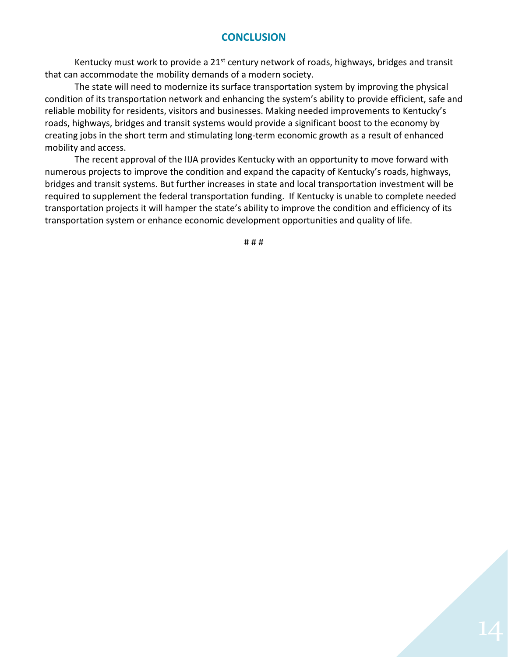# **CONCLUSION**

Kentucky must work to provide a 21<sup>st</sup> century network of roads, highways, bridges and transit that can accommodate the mobility demands of a modern society.

The state will need to modernize its surface transportation system by improving the physical condition of its transportation network and enhancing the system's ability to provide efficient, safe and reliable mobility for residents, visitors and businesses. Making needed improvements to Kentucky's roads, highways, bridges and transit systems would provide a significant boost to the economy by creating jobs in the short term and stimulating long-term economic growth as a result of enhanced mobility and access.

The recent approval of the IIJA provides Kentucky with an opportunity to move forward with numerous projects to improve the condition and expand the capacity of Kentucky's roads, highways, bridges and transit systems. But further increases in state and local transportation investment will be required to supplement the federal transportation funding. If Kentucky is unable to complete needed transportation projects it will hamper the state's ability to improve the condition and efficiency of its transportation system or enhance economic development opportunities and quality of life.

# # #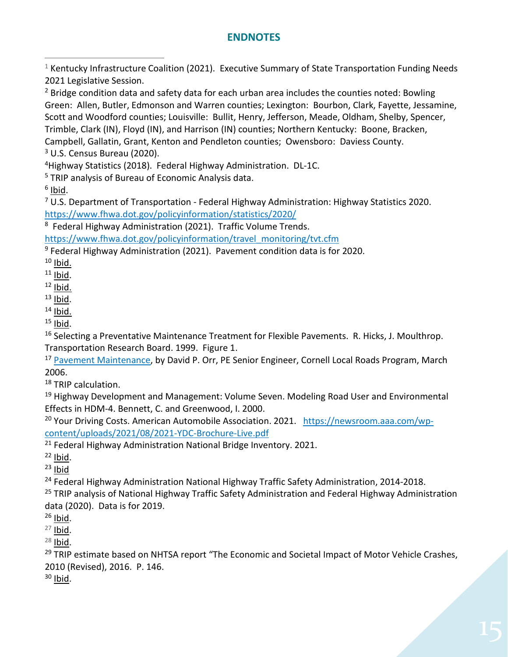# **ENDNOTES**

<span id="page-15-3"></span><span id="page-15-2"></span><span id="page-15-1"></span><span id="page-15-0"></span> $1$  Kentucky Infrastructure Coalition (2021). Executive Summary of State Transportation Funding Needs 2021 Legislative Session.  $<sup>2</sup>$  Bridge condition data and safety data for each urban area includes the counties noted: Bowling</sup> Green: Allen, Butler, Edmonson and Warren counties; Lexington: Bourbon, Clark, Fayette, Jessamine, Scott and Woodford counties; Louisville: Bullit, Henry, Jefferson, Meade, Oldham, Shelby, Spencer, Trimble, Clark (IN), Floyd (IN), and Harrison (IN) counties; Northern Kentucky: Boone, Bracken, Campbell, Gallatin, Grant, Kenton and Pendleton counties; Owensboro: Daviess County.  $3$  U.S. Census Bureau (2020). 4Highway Statistics (2018). Federal Highway Administration. DL-1C. <sup>5</sup> TRIP analysis of Bureau of Economic Analysis data.  $6$  Ibid.  $7$  U.S. Department of Transportation - Federal Highway Administration: Highway Statistics 2020. <https://www.fhwa.dot.gov/policyinformation/statistics/2020/> 8 Federal Highway Administration (2021). Traffic Volume Trends. https://www.fhwa.dot.gov/policyinformation/travel\_monitoring/tvt.cfm  $9$  Federal Highway Administration (2021). Pavement condition data is for 2020.

<span id="page-15-9"></span><span id="page-15-8"></span><span id="page-15-7"></span><span id="page-15-6"></span><span id="page-15-5"></span><span id="page-15-4"></span> $10$  Ibid.

<span id="page-15-10"></span> $11$  Ibid.

<span id="page-15-11"></span> $12$  Ibid.

<span id="page-15-13"></span><span id="page-15-12"></span> $13$  Ibid.  $14$  Ibid.

<span id="page-15-15"></span><span id="page-15-14"></span><sup>15</sup> Ibid.<br><sup>16</sup> Selecting a Preventative Maintenance Treatment for Flexible Pavements. R. Hicks, J. Moulthrop. Transportation Research Board. 1999. Figure 1.

<span id="page-15-16"></span><sup>17</sup> [Pavement Maintenance,](https://www.yumpu.com/en/document/view/9021768/pavement-maintenance-cornell-local-roads-program-cornell-/4) by David P. Orr, PE Senior Engineer, Cornell Local Roads Program, March 2006.

<span id="page-15-17"></span><sup>18</sup> TRIP calculation.

<span id="page-15-18"></span><sup>19</sup> Highway Development and Management: Volume Seven. Modeling Road User and Environmental Effects in HDM-4. Bennett, C. and Greenwood, I. 2000.

<span id="page-15-19"></span><sup>20</sup> Your Driving Costs. American Automobile Association. 2021. [https://newsroom.aaa.com/wp](https://newsroom.aaa.com/wp-content/uploads/2021/08/2021-YDC-Brochure-Live.pdf)[content/uploads/2021/08/2021-YDC-Brochure-Live.pdf](https://newsroom.aaa.com/wp-content/uploads/2021/08/2021-YDC-Brochure-Live.pdf)

<span id="page-15-20"></span> $21$  Federal Highway Administration National Bridge Inventory. 2021.

<span id="page-15-21"></span> $22$  Ibid.

<span id="page-15-22"></span> $23$  Ibid

<span id="page-15-23"></span><sup>24</sup> Federal Highway Administration National Highway Traffic Safety Administration, 2014-2018.

<span id="page-15-24"></span><sup>25</sup> TRIP analysis of National Highway Traffic Safety Administration and Federal Highway Administration data (2020). Data is for 2019.

<span id="page-15-25"></span> $26$  Ibid.

<span id="page-15-26"></span> $27$  Ibid.

<span id="page-15-27"></span> $28$  Ibid.

<span id="page-15-28"></span><sup>29</sup> TRIP estimate based on NHTSA report "The Economic and Societal Impact of Motor Vehicle Crashes, 2010 (Revised), 2016. P. 146.

<span id="page-15-29"></span> $30$  Ibid.